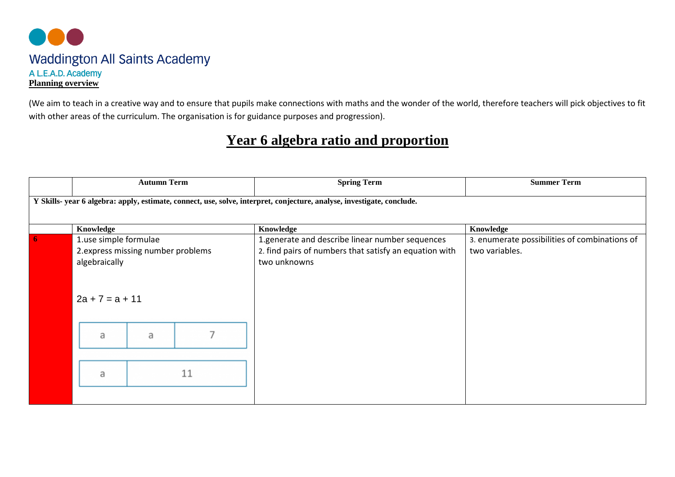

(We aim to teach in a creative way and to ensure that pupils make connections with maths and the wonder of the world, therefore teachers will pick objectives to fit with other areas of the curriculum. The organisation is for guidance purposes and progression).

## **Year 6 algebra ratio and proportion**

|                                                                                                                        | <b>Autumn Term</b>                                                                               |   |    | <b>Spring Term</b>                                                                                                        | <b>Summer Term</b>                                              |  |  |  |  |
|------------------------------------------------------------------------------------------------------------------------|--------------------------------------------------------------------------------------------------|---|----|---------------------------------------------------------------------------------------------------------------------------|-----------------------------------------------------------------|--|--|--|--|
| Y Skills- year 6 algebra: apply, estimate, connect, use, solve, interpret, conjecture, analyse, investigate, conclude. |                                                                                                  |   |    |                                                                                                                           |                                                                 |  |  |  |  |
|                                                                                                                        | Knowledge                                                                                        |   |    | Knowledge                                                                                                                 | Knowledge                                                       |  |  |  |  |
|                                                                                                                        | 1.use simple formulae<br>2.express missing number problems<br>algebraically<br>$2a + 7 = a + 11$ |   |    | 1.generate and describe linear number sequences<br>2. find pairs of numbers that satisfy an equation with<br>two unknowns | 3. enumerate possibilities of combinations of<br>two variables. |  |  |  |  |
|                                                                                                                        | a                                                                                                | a |    |                                                                                                                           |                                                                 |  |  |  |  |
|                                                                                                                        | a                                                                                                |   | 11 |                                                                                                                           |                                                                 |  |  |  |  |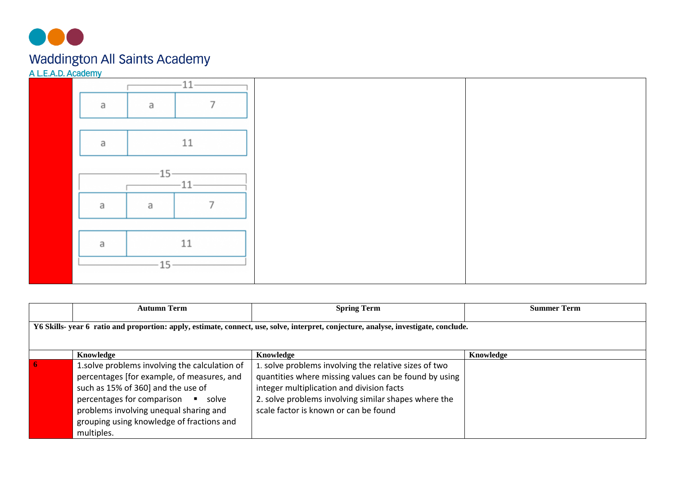

|   | $-11-$ |  |
|---|--------|--|
| a | a      |  |
|   |        |  |
| a | 11     |  |
|   |        |  |
|   | 11     |  |
| a | a      |  |
|   |        |  |
| a | 11     |  |
|   | 15     |  |
|   |        |  |

|                                                                                                                                      | <b>Autumn Term</b>                                                                                                                                                                                                                                                              | <b>Spring Term</b>                                                                                                                                                                                                                                           | <b>Summer Term</b> |  |  |  |  |  |  |
|--------------------------------------------------------------------------------------------------------------------------------------|---------------------------------------------------------------------------------------------------------------------------------------------------------------------------------------------------------------------------------------------------------------------------------|--------------------------------------------------------------------------------------------------------------------------------------------------------------------------------------------------------------------------------------------------------------|--------------------|--|--|--|--|--|--|
| Y6 Skills- year 6 ratio and proportion: apply, estimate, connect, use, solve, interpret, conjecture, analyse, investigate, conclude. |                                                                                                                                                                                                                                                                                 |                                                                                                                                                                                                                                                              |                    |  |  |  |  |  |  |
|                                                                                                                                      | Knowledge                                                                                                                                                                                                                                                                       | Knowledge                                                                                                                                                                                                                                                    | Knowledge          |  |  |  |  |  |  |
|                                                                                                                                      | 1.solve problems involving the calculation of<br>percentages [for example, of measures, and<br>such as 15% of 360] and the use of<br>percentages for comparison<br>• solve<br>problems involving unequal sharing and<br>grouping using knowledge of fractions and<br>multiples. | 1. solve problems involving the relative sizes of two<br>quantities where missing values can be found by using<br>integer multiplication and division facts<br>2. solve problems involving similar shapes where the<br>scale factor is known or can be found |                    |  |  |  |  |  |  |